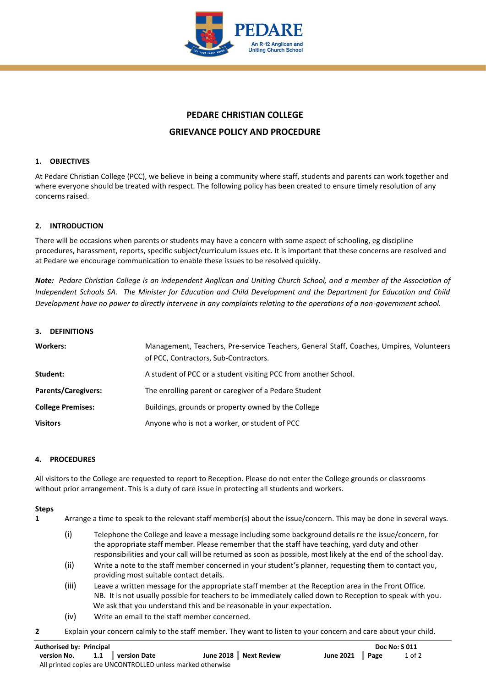

# **PEDARE CHRISTIAN COLLEGE**

# **GRIEVANCE POLICY AND PROCEDURE**

### **1. OBJECTIVES**

At Pedare Christian College (PCC), we believe in being a community where staff, students and parents can work together and where everyone should be treated with respect. The following policy has been created to ensure timely resolution of any concerns raised.

### **2. INTRODUCTION**

There will be occasions when parents or students may have a concern with some aspect of schooling, eg discipline procedures, harassment, reports, specific subject/curriculum issues etc. It is important that these concerns are resolved and at Pedare we encourage communication to enable these issues to be resolved quickly.

*Note: Pedare Christian College is an independent Anglican and Uniting Church School, and a member of the Association of Independent Schools SA. The Minister for Education and Child Development and the Department for Education and Child Development have no power to directly intervene in any complaints relating to the operations of a non-government school.*

#### **3. DEFINITIONS**

| <b>Workers:</b>            | Management, Teachers, Pre-service Teachers, General Staff, Coaches, Umpires, Volunteers<br>of PCC, Contractors, Sub-Contractors. |
|----------------------------|----------------------------------------------------------------------------------------------------------------------------------|
| Student:                   | A student of PCC or a student visiting PCC from another School.                                                                  |
| <b>Parents/Caregivers:</b> | The enrolling parent or caregiver of a Pedare Student                                                                            |
| <b>College Premises:</b>   | Buildings, grounds or property owned by the College                                                                              |
| <b>Visitors</b>            | Anyone who is not a worker, or student of PCC                                                                                    |

#### **4. PROCEDURES**

All visitors to the College are requested to report to Reception. Please do not enter the College grounds or classrooms without prior arrangement. This is a duty of care issue in protecting all students and workers.

#### **Steps**

- **1** Arrange a time to speak to the relevant staff member(s) about the issue/concern. This may be done in several ways.
	- (i) Telephone the College and leave a message including some background details re the issue/concern, for the appropriate staff member. Please remember that the staff have teaching, yard duty and other responsibilities and your call will be returned as soon as possible, most likely at the end of the school day.
	- (ii) Write a note to the staff member concerned in your student's planner, requesting them to contact you, providing most suitable contact details.
	- (iii) Leave a written message for the appropriate staff member at the Reception area in the Front Office. NB. It is not usually possible for teachers to be immediately called down to Reception to speak with you. We ask that you understand this and be reasonable in your expectation.
	- (iv) Write an email to the staff member concerned.
- **2** Explain your concern calmly to the staff member. They want to listen to your concern and care about your child.